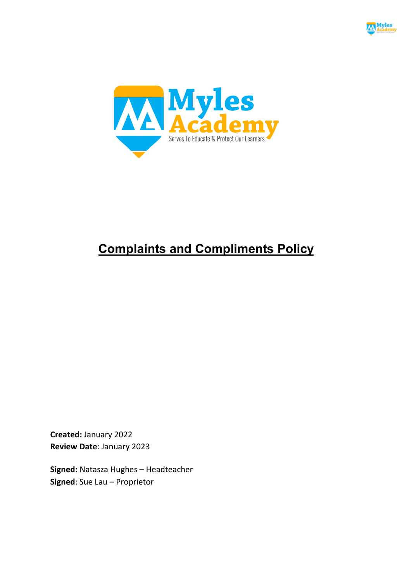



# **Complaints and Compliments Policy**

**Created:** January 2022 **Review Date**: January 2023

**Signed:** Natasza Hughes – Headteacher **Signed**: Sue Lau – Proprietor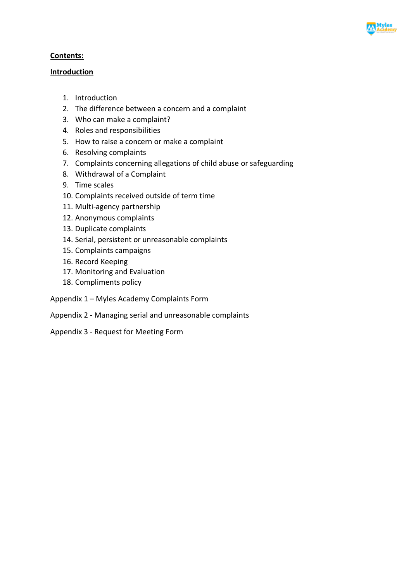

#### **Contents:**

#### **Introduction**

- 1. Introduction
- 2. The difference between a concern and a complaint
- 3. Who can make a complaint?
- 4. Roles and responsibilities
- 5. How to raise a concern or make a complaint
- 6. Resolving complaints
- 7. Complaints concerning allegations of child abuse or safeguarding
- 8. Withdrawal of a Complaint
- 9. Time scales
- 10. Complaints received outside of term time
- 11. Multi-agency partnership
- 12. Anonymous complaints
- 13. Duplicate complaints
- 14. Serial, persistent or unreasonable complaints
- 15. Complaints campaigns
- 16. Record Keeping
- 17. Monitoring and Evaluation
- 18. Compliments policy
- Appendix 1 Myles Academy Complaints Form
- Appendix 2 Managing serial and unreasonable complaints
- Appendix 3 Request for Meeting Form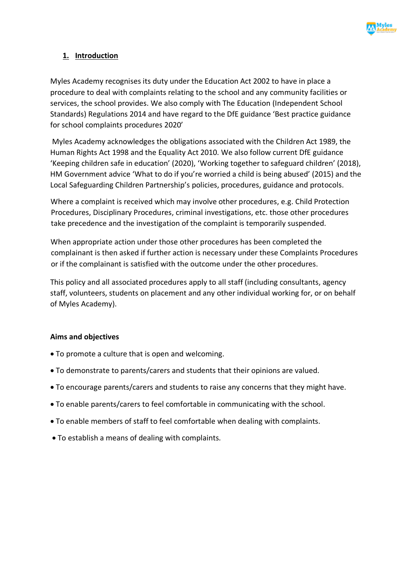

# **1. Introduction**

Myles Academy recognises its duty under the Education Act 2002 to have in place a procedure to deal with complaints relating to the school and any community facilities or services, the school provides. We also comply with The Education (Independent School Standards) Regulations 2014 and have regard to the DfE guidance 'Best practice guidance for school complaints procedures 2020'

Myles Academy acknowledges the obligations associated with the Children Act 1989, the Human Rights Act 1998 and the Equality Act 2010. We also follow current DfE guidance 'Keeping children safe in education' (2020), 'Working together to safeguard children' (2018), HM Government advice 'What to do if you're worried a child is being abused' (2015) and the Local Safeguarding Children Partnership's policies, procedures, guidance and protocols.

Where a complaint is received which may involve other procedures, e.g. Child Protection Procedures, Disciplinary Procedures, criminal investigations, etc. those other procedures take precedence and the investigation of the complaint is temporarily suspended.

When appropriate action under those other procedures has been completed the complainant is then asked if further action is necessary under these Complaints Procedures or if the complainant is satisfied with the outcome under the other procedures.

This policy and all associated procedures apply to all staff (including consultants, agency staff, volunteers, students on placement and any other individual working for, or on behalf of Myles Academy).

## **Aims and objectives**

- To promote a culture that is open and welcoming.
- To demonstrate to parents/carers and students that their opinions are valued.
- To encourage parents/carers and students to raise any concerns that they might have.
- To enable parents/carers to feel comfortable in communicating with the school.
- To enable members of staff to feel comfortable when dealing with complaints.
- To establish a means of dealing with complaints.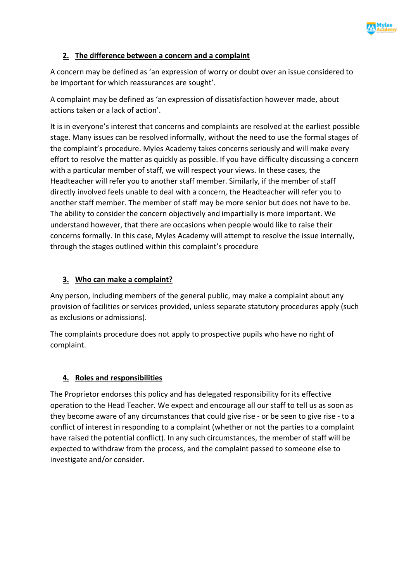

# **2. The difference between a concern and a complaint**

A concern may be defined as 'an expression of worry or doubt over an issue considered to be important for which reassurances are sought'.

A complaint may be defined as 'an expression of dissatisfaction however made, about actions taken or a lack of action'.

It is in everyone's interest that concerns and complaints are resolved at the earliest possible stage. Many issues can be resolved informally, without the need to use the formal stages of the complaint's procedure. Myles Academy takes concerns seriously and will make every effort to resolve the matter as quickly as possible. If you have difficulty discussing a concern with a particular member of staff, we will respect your views. In these cases, the Headteacher will refer you to another staff member. Similarly, if the member of staff directly involved feels unable to deal with a concern, the Headteacher will refer you to another staff member. The member of staff may be more senior but does not have to be. The ability to consider the concern objectively and impartially is more important. We understand however, that there are occasions when people would like to raise their concerns formally. In this case, Myles Academy will attempt to resolve the issue internally, through the stages outlined within this complaint's procedure

# **3. Who can make a complaint?**

Any person, including members of the general public, may make a complaint about any provision of facilities or services provided, unless separate statutory procedures apply (such as exclusions or admissions).

The complaints procedure does not apply to prospective pupils who have no right of complaint.

# **4. Roles and responsibilities**

The Proprietor endorses this policy and has delegated responsibility for its effective operation to the Head Teacher. We expect and encourage all our staff to tell us as soon as they become aware of any circumstances that could give rise - or be seen to give rise - to a conflict of interest in responding to a complaint (whether or not the parties to a complaint have raised the potential conflict). In any such circumstances, the member of staff will be expected to withdraw from the process, and the complaint passed to someone else to investigate and/or consider.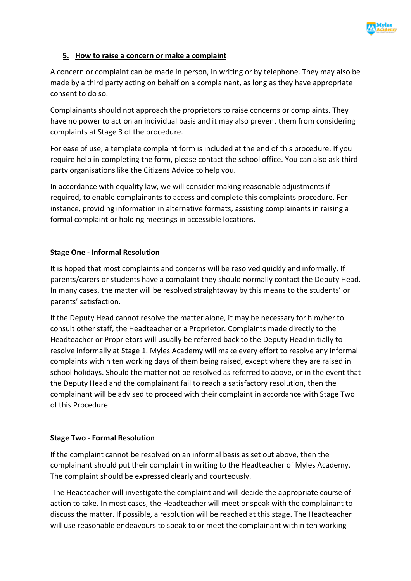

## **5. How to raise a concern or make a complaint**

A concern or complaint can be made in person, in writing or by telephone. They may also be made by a third party acting on behalf on a complainant, as long as they have appropriate consent to do so.

Complainants should not approach the proprietors to raise concerns or complaints. They have no power to act on an individual basis and it may also prevent them from considering complaints at Stage 3 of the procedure.

For ease of use, a template complaint form is included at the end of this procedure. If you require help in completing the form, please contact the school office. You can also ask third party organisations like the Citizens Advice to help you.

In accordance with equality law, we will consider making reasonable adjustments if required, to enable complainants to access and complete this complaints procedure. For instance, providing information in alternative formats, assisting complainants in raising a formal complaint or holding meetings in accessible locations.

#### **Stage One - Informal Resolution**

It is hoped that most complaints and concerns will be resolved quickly and informally. If parents/carers or students have a complaint they should normally contact the Deputy Head. In many cases, the matter will be resolved straightaway by this means to the students' or parents' satisfaction.

If the Deputy Head cannot resolve the matter alone, it may be necessary for him/her to consult other staff, the Headteacher or a Proprietor. Complaints made directly to the Headteacher or Proprietors will usually be referred back to the Deputy Head initially to resolve informally at Stage 1. Myles Academy will make every effort to resolve any informal complaints within ten working days of them being raised, except where they are raised in school holidays. Should the matter not be resolved as referred to above, or in the event that the Deputy Head and the complainant fail to reach a satisfactory resolution, then the complainant will be advised to proceed with their complaint in accordance with Stage Two of this Procedure.

#### **Stage Two - Formal Resolution**

If the complaint cannot be resolved on an informal basis as set out above, then the complainant should put their complaint in writing to the Headteacher of Myles Academy. The complaint should be expressed clearly and courteously.

The Headteacher will investigate the complaint and will decide the appropriate course of action to take. In most cases, the Headteacher will meet or speak with the complainant to discuss the matter. If possible, a resolution will be reached at this stage. The Headteacher will use reasonable endeavours to speak to or meet the complainant within ten working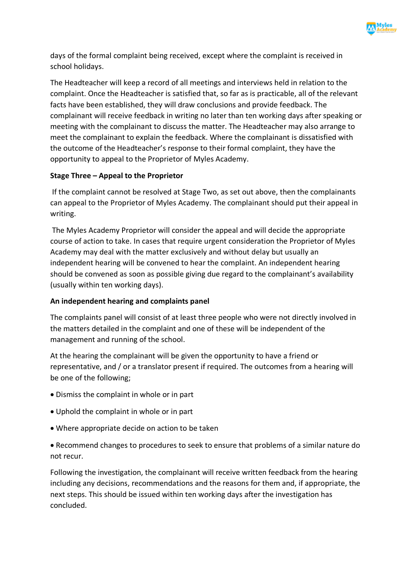

days of the formal complaint being received, except where the complaint is received in school holidays.

The Headteacher will keep a record of all meetings and interviews held in relation to the complaint. Once the Headteacher is satisfied that, so far as is practicable, all of the relevant facts have been established, they will draw conclusions and provide feedback. The complainant will receive feedback in writing no later than ten working days after speaking or meeting with the complainant to discuss the matter. The Headteacher may also arrange to meet the complainant to explain the feedback. Where the complainant is dissatisfied with the outcome of the Headteacher's response to their formal complaint, they have the opportunity to appeal to the Proprietor of Myles Academy.

## **Stage Three – Appeal to the Proprietor**

If the complaint cannot be resolved at Stage Two, as set out above, then the complainants can appeal to the Proprietor of Myles Academy. The complainant should put their appeal in writing.

The Myles Academy Proprietor will consider the appeal and will decide the appropriate course of action to take. In cases that require urgent consideration the Proprietor of Myles Academy may deal with the matter exclusively and without delay but usually an independent hearing will be convened to hear the complaint. An independent hearing should be convened as soon as possible giving due regard to the complainant's availability (usually within ten working days).

#### **An independent hearing and complaints panel**

The complaints panel will consist of at least three people who were not directly involved in the matters detailed in the complaint and one of these will be independent of the management and running of the school.

At the hearing the complainant will be given the opportunity to have a friend or representative, and / or a translator present if required. The outcomes from a hearing will be one of the following;

- Dismiss the complaint in whole or in part
- Uphold the complaint in whole or in part
- Where appropriate decide on action to be taken

• Recommend changes to procedures to seek to ensure that problems of a similar nature do not recur.

Following the investigation, the complainant will receive written feedback from the hearing including any decisions, recommendations and the reasons for them and, if appropriate, the next steps. This should be issued within ten working days after the investigation has concluded.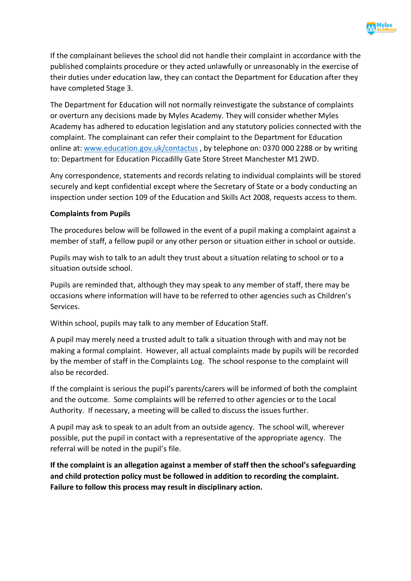

If the complainant believes the school did not handle their complaint in accordance with the published complaints procedure or they acted unlawfully or unreasonably in the exercise of their duties under education law, they can contact the Department for Education after they have completed Stage 3.

The Department for Education will not normally reinvestigate the substance of complaints or overturn any decisions made by Myles Academy. They will consider whether Myles Academy has adhered to education legislation and any statutory policies connected with the complaint. The complainant can refer their complaint to the Department for Education online at: www.education.gov.uk/contactus , by telephone on: 0370 000 2288 or by writing to: Department for Education Piccadilly Gate Store Street Manchester M1 2WD.

Any correspondence, statements and records relating to individual complaints will be stored securely and kept confidential except where the Secretary of State or a body conducting an inspection under section 109 of the Education and Skills Act 2008, requests access to them.

#### **Complaints from Pupils**

The procedures below will be followed in the event of a pupil making a complaint against a member of staff, a fellow pupil or any other person or situation either in school or outside.

Pupils may wish to talk to an adult they trust about a situation relating to school or to a situation outside school.

Pupils are reminded that, although they may speak to any member of staff, there may be occasions where information will have to be referred to other agencies such as Children's Services.

Within school, pupils may talk to any member of Education Staff.

A pupil may merely need a trusted adult to talk a situation through with and may not be making a formal complaint. However, all actual complaints made by pupils will be recorded by the member of staff in the Complaints Log. The school response to the complaint will also be recorded.

If the complaint is serious the pupil's parents/carers will be informed of both the complaint and the outcome. Some complaints will be referred to other agencies or to the Local Authority. If necessary, a meeting will be called to discuss the issues further.

A pupil may ask to speak to an adult from an outside agency. The school will, wherever possible, put the pupil in contact with a representative of the appropriate agency. The referral will be noted in the pupil's file.

**If the complaint is an allegation against a member of staff then the school's safeguarding and child protection policy must be followed in addition to recording the complaint. Failure to follow this process may result in disciplinary action.**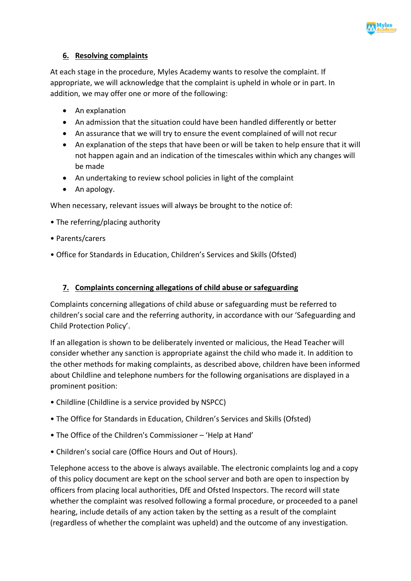

## **6. Resolving complaints**

At each stage in the procedure, Myles Academy wants to resolve the complaint. If appropriate, we will acknowledge that the complaint is upheld in whole or in part. In addition, we may offer one or more of the following:

- An explanation
- An admission that the situation could have been handled differently or better
- An assurance that we will try to ensure the event complained of will not recur
- An explanation of the steps that have been or will be taken to help ensure that it will not happen again and an indication of the timescales within which any changes will be made
- An undertaking to review school policies in light of the complaint
- An apology.

When necessary, relevant issues will always be brought to the notice of:

- The referring/placing authority
- Parents/carers
- Office for Standards in Education, Children's Services and Skills (Ofsted)

## **7. Complaints concerning allegations of child abuse or safeguarding**

Complaints concerning allegations of child abuse or safeguarding must be referred to children's social care and the referring authority, in accordance with our 'Safeguarding and Child Protection Policy'.

If an allegation is shown to be deliberately invented or malicious, the Head Teacher will consider whether any sanction is appropriate against the child who made it. In addition to the other methods for making complaints, as described above, children have been informed about Childline and telephone numbers for the following organisations are displayed in a prominent position:

- Childline (Childline is a service provided by NSPCC)
- The Office for Standards in Education, Children's Services and Skills (Ofsted)
- The Office of the Children's Commissioner 'Help at Hand'
- Children's social care (Office Hours and Out of Hours).

Telephone access to the above is always available. The electronic complaints log and a copy of this policy document are kept on the school server and both are open to inspection by officers from placing local authorities, DfE and Ofsted Inspectors. The record will state whether the complaint was resolved following a formal procedure, or proceeded to a panel hearing, include details of any action taken by the setting as a result of the complaint (regardless of whether the complaint was upheld) and the outcome of any investigation.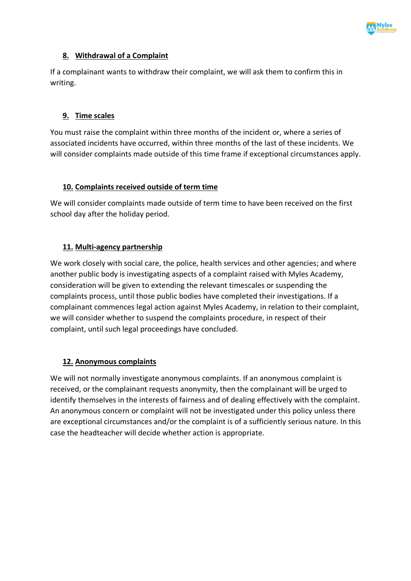

## **8. Withdrawal of a Complaint**

If a complainant wants to withdraw their complaint, we will ask them to confirm this in writing.

#### **9. Time scales**

You must raise the complaint within three months of the incident or, where a series of associated incidents have occurred, within three months of the last of these incidents. We will consider complaints made outside of this time frame if exceptional circumstances apply.

#### **10. Complaints received outside of term time**

We will consider complaints made outside of term time to have been received on the first school day after the holiday period.

## **11. Multi-agency partnership**

We work closely with social care, the police, health services and other agencies; and where another public body is investigating aspects of a complaint raised with Myles Academy, consideration will be given to extending the relevant timescales or suspending the complaints process, until those public bodies have completed their investigations. If a complainant commences legal action against Myles Academy, in relation to their complaint, we will consider whether to suspend the complaints procedure, in respect of their complaint, until such legal proceedings have concluded.

## **12. Anonymous complaints**

We will not normally investigate anonymous complaints. If an anonymous complaint is received, or the complainant requests anonymity, then the complainant will be urged to identify themselves in the interests of fairness and of dealing effectively with the complaint. An anonymous concern or complaint will not be investigated under this policy unless there are exceptional circumstances and/or the complaint is of a sufficiently serious nature. In this case the headteacher will decide whether action is appropriate.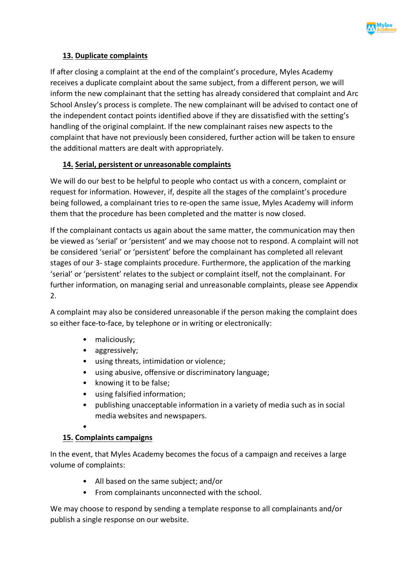

# **13. Duplicate complaints**

If after closing a complaint at the end of the complaint's procedure, Myles Academy receives a duplicate complaint about the same subject, from a different person, we will inform the new complainant that the setting has already considered that complaint and Arc School Ansley's process is complete. The new complainant will be advised to contact one of the independent contact points identified above if they are dissatisfied with the setting's handling of the original complaint. If the new complainant raises new aspects to the complaint that have not previously been considered, further action will be taken to ensure the additional matters are dealt with appropriately.

# **14. Serial, persistent or unreasonable complaints**

We will do our best to be helpful to people who contact us with a concern, complaint or request for information. However, if, despite all the stages of the complaint's procedure being followed, a complainant tries to re-open the same issue, Myles Academy will inform them that the procedure has been completed and the matter is now closed.

If the complainant contacts us again about the same matter, the communication may then be viewed as 'serial' or 'persistent' and we may choose not to respond. A complaint will not be considered 'serial' or 'persistent' before the complainant has completed all relevant stages of our 3- stage complaints procedure. Furthermore, the application of the marking 'serial' or 'persistent' relates to the subject or complaint itself, not the complainant. For further information, on managing serial and unreasonable complaints, please see Appendix 2.

A complaint may also be considered unreasonable if the person making the complaint does so either face-to-face, by telephone or in writing or electronically:

- maliciously;
- aggressively;
- using threats, intimidation or violence;
- using abusive, offensive or discriminatory language;
- knowing it to be false;
- using falsified information;
- publishing unacceptable information in a variety of media such as in social media websites and newspapers.

# •

## **15. Complaints campaigns**

In the event, that Myles Academy becomes the focus of a campaign and receives a large volume of complaints:

- All based on the same subject; and/or
- From complainants unconnected with the school.

We may choose to respond by sending a template response to all complainants and/or publish a single response on our website.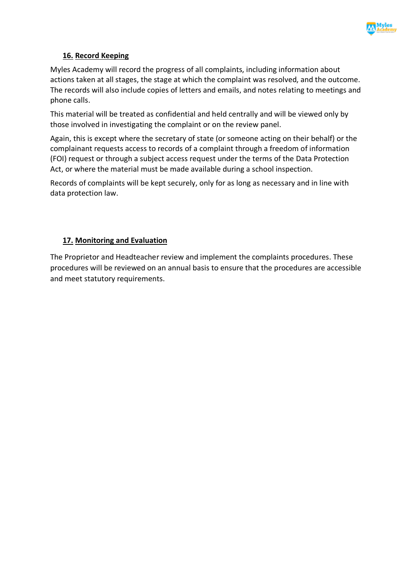

# **16. Record Keeping**

Myles Academy will record the progress of all complaints, including information about actions taken at all stages, the stage at which the complaint was resolved, and the outcome. The records will also include copies of letters and emails, and notes relating to meetings and phone calls.

This material will be treated as confidential and held centrally and will be viewed only by those involved in investigating the complaint or on the review panel.

Again, this is except where the secretary of state (or someone acting on their behalf) or the complainant requests access to records of a complaint through a freedom of information (FOI) request or through a subject access request under the terms of the Data Protection Act, or where the material must be made available during a school inspection.

Records of complaints will be kept securely, only for as long as necessary and in line with data protection law.

## **17. Monitoring and Evaluation**

The Proprietor and Headteacher review and implement the complaints procedures. These procedures will be reviewed on an annual basis to ensure that the procedures are accessible and meet statutory requirements.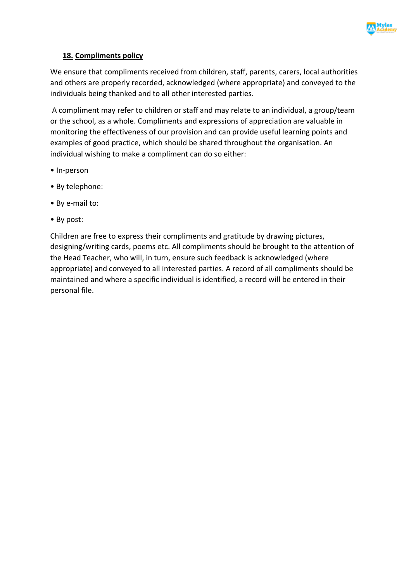

# **18. Compliments policy**

We ensure that compliments received from children, staff, parents, carers, local authorities and others are properly recorded, acknowledged (where appropriate) and conveyed to the individuals being thanked and to all other interested parties.

A compliment may refer to children or staff and may relate to an individual, a group/team or the school, as a whole. Compliments and expressions of appreciation are valuable in monitoring the effectiveness of our provision and can provide useful learning points and examples of good practice, which should be shared throughout the organisation. An individual wishing to make a compliment can do so either:

- In-person
- By telephone:
- By e-mail to:
- By post:

Children are free to express their compliments and gratitude by drawing pictures, designing/writing cards, poems etc. All compliments should be brought to the attention of the Head Teacher, who will, in turn, ensure such feedback is acknowledged (where appropriate) and conveyed to all interested parties. A record of all compliments should be maintained and where a specific individual is identified, a record will be entered in their personal file.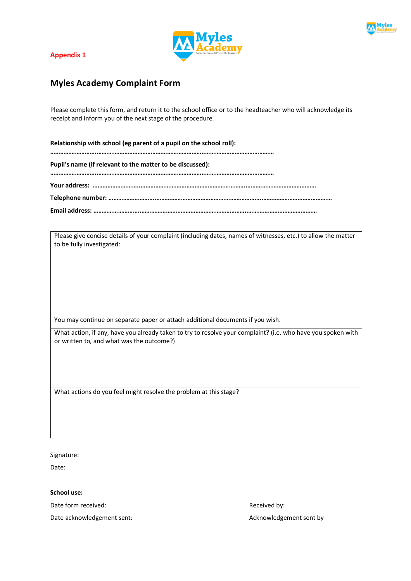

#### **Appendix 1**



# **Myles Academy Complaint Form**

Please complete this form, and return it to the school office or to the headteacher who will acknowledge its receipt and inform you of the next stage of the procedure.

**Relationship with school (eg parent of a pupil on the school roll): ………………………..………………………………………………………..…………………………………… Pupil's name (if relevant to the matter to be discussed): ………………………..………………………………………………………..…………………………………… Your address: ………………………..………………………………………………………..…………………………………… Telephone number: ………………………..………………………………………………………..…………………………………… Email address: ………………………..………………………………………………………..……………………………………**

Please give concise details of your complaint (including dates, names of witnesses, etc.) to allow the matter to be fully investigated:

You may continue on separate paper or attach additional documents if you wish.

What action, if any, have you already taken to try to resolve your complaint? (i.e. who have you spoken with or written to, and what was the outcome?)

What actions do you feel might resolve the problem at this stage?

Signature:

Date:

**School use:** 

Date form received:  $\blacksquare$ 

Date acknowledgement sent: Acknowledgement sent by a series and acknowledgement sent by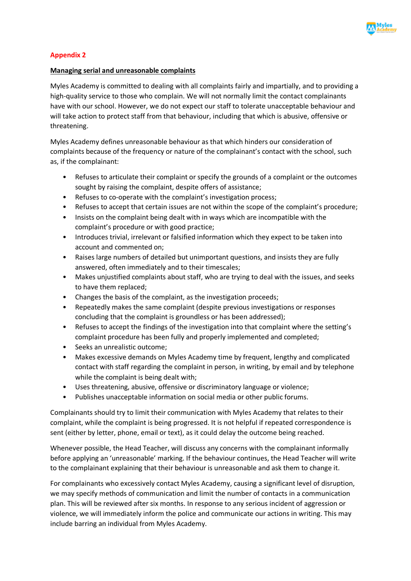

#### **Appendix 2**

#### **Managing serial and unreasonable complaints**

Myles Academy is committed to dealing with all complaints fairly and impartially, and to providing a high-quality service to those who complain. We will not normally limit the contact complainants have with our school. However, we do not expect our staff to tolerate unacceptable behaviour and will take action to protect staff from that behaviour, including that which is abusive, offensive or threatening.

Myles Academy defines unreasonable behaviour as that which hinders our consideration of complaints because of the frequency or nature of the complainant's contact with the school, such as, if the complainant:

- Refuses to articulate their complaint or specify the grounds of a complaint or the outcomes sought by raising the complaint, despite offers of assistance;
- Refuses to co-operate with the complaint's investigation process;
- Refuses to accept that certain issues are not within the scope of the complaint's procedure;
- Insists on the complaint being dealt with in ways which are incompatible with the complaint's procedure or with good practice;
- Introduces trivial, irrelevant or falsified information which they expect to be taken into account and commented on;
- Raises large numbers of detailed but unimportant questions, and insists they are fully answered, often immediately and to their timescales;
- Makes unjustified complaints about staff, who are trying to deal with the issues, and seeks to have them replaced;
- Changes the basis of the complaint, as the investigation proceeds;
- Repeatedly makes the same complaint (despite previous investigations or responses concluding that the complaint is groundless or has been addressed);
- Refuses to accept the findings of the investigation into that complaint where the setting's complaint procedure has been fully and properly implemented and completed;
- Seeks an unrealistic outcome;
- Makes excessive demands on Myles Academy time by frequent, lengthy and complicated contact with staff regarding the complaint in person, in writing, by email and by telephone while the complaint is being dealt with;
- Uses threatening, abusive, offensive or discriminatory language or violence;
- Publishes unacceptable information on social media or other public forums.

Complainants should try to limit their communication with Myles Academy that relates to their complaint, while the complaint is being progressed. It is not helpful if repeated correspondence is sent (either by letter, phone, email or text), as it could delay the outcome being reached.

Whenever possible, the Head Teacher, will discuss any concerns with the complainant informally before applying an 'unreasonable' marking. If the behaviour continues, the Head Teacher will write to the complainant explaining that their behaviour is unreasonable and ask them to change it.

For complainants who excessively contact Myles Academy, causing a significant level of disruption, we may specify methods of communication and limit the number of contacts in a communication plan. This will be reviewed after six months. In response to any serious incident of aggression or violence, we will immediately inform the police and communicate our actions in writing. This may include barring an individual from Myles Academy.